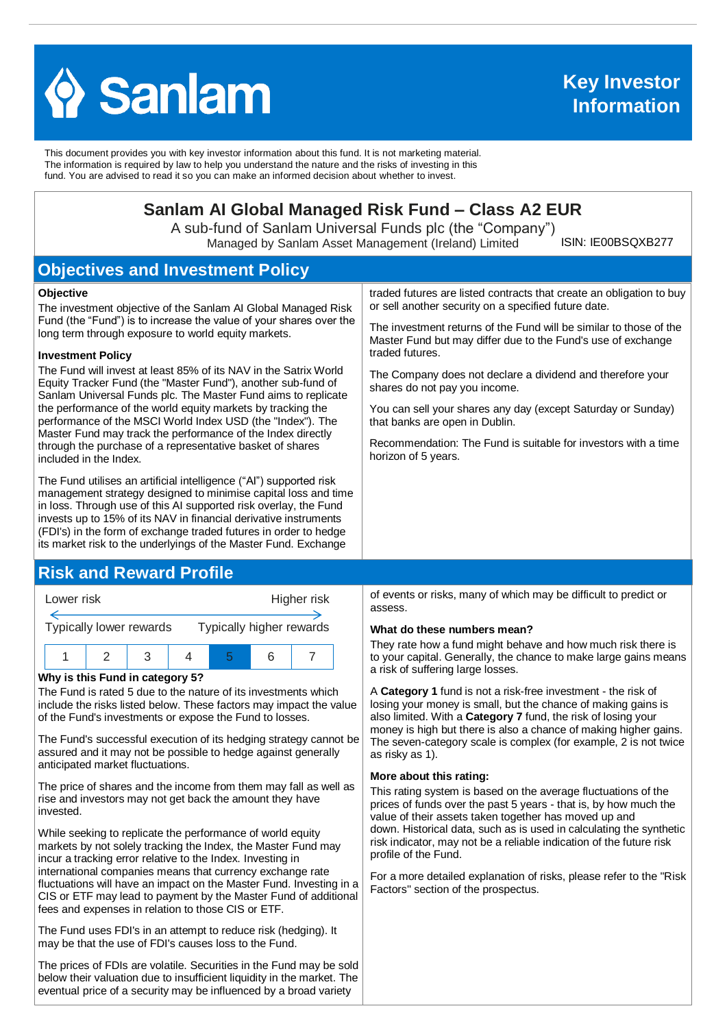

This document provides you with key investor information about this fund. It is not marketing material. The information is required by law to help you understand the nature and the risks of investing in this fund. You are advised to read it so you can make an informed decision about whether to invest.

# **Sanlam AI Global Managed Risk Fund – Class A2 EUR**

A sub-fund of Sanlam Universal Funds plc (the "Company") Managed by Sanlam Asset Management (Ireland) Limited

ISIN: IE00BSQXB277

# **Objectives and Investment Policy**

#### **Objective**

The investment objective of the Sanlam AI Global Managed Risk Fund (the "Fund") is to increase the value of your shares over the long term through exposure to world equity markets.

#### **Investment Policy**

The Fund will invest at least 85% of its NAV in the Satrix World Equity Tracker Fund (the "Master Fund"), another sub-fund of Sanlam Universal Funds plc. The Master Fund aims to replicate the performance of the world equity markets by tracking the performance of the MSCI World Index USD (the "Index"). The Master Fund may track the performance of the Index directly through the purchase of a representative basket of shares included in the Index.

The Fund utilises an artificial intelligence ("AI") supported risk management strategy designed to minimise capital loss and time in loss. Through use of this AI supported risk overlay, the Fund invests up to 15% of its NAV in financial derivative instruments (FDI's) in the form of exchange traded futures in order to hedge its market risk to the underlyings of the Master Fund. Exchange

## **Risk and Reward Profile**



#### **Why is this Fund in category 5?**

The Fund is rated 5 due to the nature of its investments which include the risks listed below. These factors may impact the value of the Fund's investments or expose the Fund to losses.

The Fund's successful execution of its hedging strategy cannot be assured and it may not be possible to hedge against generally anticipated market fluctuations.

The price of shares and the income from them may fall as well as rise and investors may not get back the amount they have invested.

While seeking to replicate the performance of world equity markets by not solely tracking the Index, the Master Fund may incur a tracking error relative to the Index. Investing in international companies means that currency exchange rate fluctuations will have an impact on the Master Fund. Investing in a CIS or ETF may lead to payment by the Master Fund of additional fees and expenses in relation to those CIS or ETF.

The Fund uses FDI's in an attempt to reduce risk (hedging). It may be that the use of FDI's causes loss to the Fund.

The prices of FDIs are volatile. Securities in the Fund may be sold below their valuation due to insufficient liquidity in the market. The eventual price of a security may be influenced by a broad variety

traded futures are listed contracts that create an obligation to buy or sell another security on a specified future date.

The investment returns of the Fund will be similar to those of the Master Fund but may differ due to the Fund's use of exchange traded futures.

The Company does not declare a dividend and therefore your shares do not pay you income.

You can sell your shares any day (except Saturday or Sunday) that banks are open in Dublin.

Recommendation: The Fund is suitable for investors with a time horizon of 5 years.

of events or risks, many of which may be difficult to predict or assess.

#### **What do these numbers mean?**

They rate how a fund might behave and how much risk there is to your capital. Generally, the chance to make large gains means a risk of suffering large losses.

A **Category 1** fund is not a risk-free investment - the risk of losing your money is small, but the chance of making gains is also limited. With a **Category 7** fund, the risk of losing your money is high but there is also a chance of making higher gains. The seven-category scale is complex (for example, 2 is not twice as risky as 1).

#### **More about this rating:**

This rating system is based on the average fluctuations of the prices of funds over the past 5 years - that is, by how much the value of their assets taken together has moved up and down. Historical data, such as is used in calculating the synthetic risk indicator, may not be a reliable indication of the future risk profile of the Fund.

For a more detailed explanation of risks, please refer to the ''Risk Factors'' section of the prospectus.